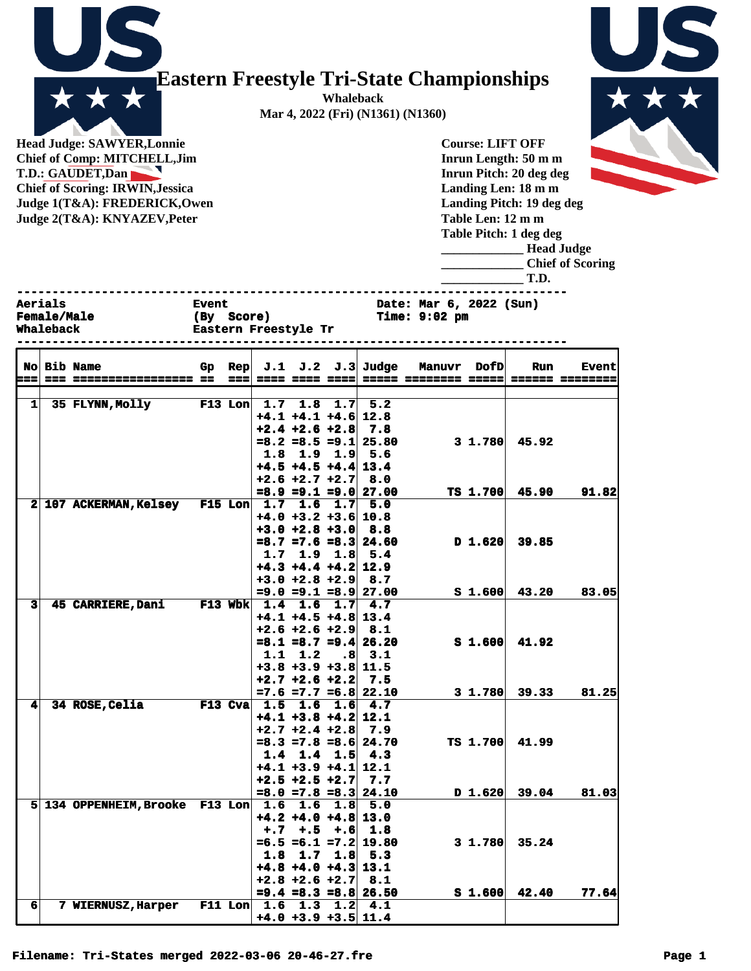

## **Eastern Freestyle Tri-State Championships**

**Whaleback Mar 4, 2022 (Fri) (N1361) (N1360)**

**Head Judge: SAWYER,Lonnie Chief of Comp: MITCHELL,Jim T.D.: GAUDET,Dan Chief of Scoring: IRWIN,Jessica Judge 1(T&A): FREDERICK,Owen Judge 2(T&A): KNYAZEV,Peter** 

**Course: LIFT OFF Inrun Length: 50 m m Inrun Pitch: 20 deg deg Landing Len: 18 m m Landing Pitch: 19 deg deg Table Len: 12 m m Table Pitch: 1 deg deg**



|                                                   |                    |                                             |        |  |  |  |                             |                                            |             | Table Pitch: 1 deg deg<br><b>Head Judge</b><br><b>Chief of Scoring</b><br>T.D. |              |  |  |
|---------------------------------------------------|--------------------|---------------------------------------------|--------|--|--|--|-----------------------------|--------------------------------------------|-------------|--------------------------------------------------------------------------------|--------------|--|--|
| <b>Aerials</b><br><b>Female/Male</b><br>Whaleback |                    | <b>Event</b><br>(By<br>Eastern Freestyle Tr | Score) |  |  |  |                             | Date: Mar 6, 2022 (Sun)<br>Time: $9:02$ pm |             |                                                                                |              |  |  |
|                                                   | <b>No Bib Name</b> | Gp                                          |        |  |  |  | Rep $J.1$ $J.2$ $J.3$ Judge | <b>Manuvr</b>                              | <b>DofD</b> | Run                                                                            | <b>Event</b> |  |  |

|                         | No Bib Name                                     | Gp |       |                 |                             | $\text{Rep}$ J.1 J.2 J.3 Judge | <b>Manuvr</b> | <b>DofD</b>        | <b>Run</b>       | <b>Event</b>    |
|-------------------------|-------------------------------------------------|----|-------|-----------------|-----------------------------|--------------------------------|---------------|--------------------|------------------|-----------------|
| $= 1$                   | --- ----------------- --                        |    | $= 1$ |                 | ---- ---- ---- <sup> </sup> | $= - -$                        |               |                    |                  | ====== ======== |
|                         |                                                 |    |       |                 |                             |                                |               |                    |                  |                 |
| $1\vert$                | 35 FLYNN, Molly                                 |    |       | F13 Lon $1.7$   |                             | $1.8$ 1.7 5.2                  |               |                    |                  |                 |
|                         |                                                 |    |       |                 | $+4.1$ $+4.1$ $+4.6$ 12.8   |                                |               |                    |                  |                 |
|                         |                                                 |    |       |                 | $+2.4 + 2.6 + 2.8$ 7.8      |                                |               |                    |                  |                 |
|                         |                                                 |    |       |                 |                             | $=8.2$ =8.5 =9.1 25.80         |               | $3\;1.780$         | 45.92            |                 |
|                         |                                                 |    |       |                 | $1.8$ 1.9 1.9 5.6           |                                |               |                    |                  |                 |
|                         |                                                 |    |       |                 | $+4.5 +4.5 +4.4$ 13.4       |                                |               |                    |                  |                 |
|                         |                                                 |    |       |                 | $+2.6 +2.7 +2.7$ 8.0        |                                |               |                    |                  |                 |
|                         |                                                 |    |       |                 |                             | $=8.9$ $=9.1$ $=9.0$ 27.00     |               |                    | $TS$ 1.700 45.90 | 91.82           |
|                         | 2 107 ACKERMAN, Kelsey F15 Lon 1.7 1.6 1.7 5.0  |    |       |                 |                             |                                |               |                    |                  |                 |
|                         |                                                 |    |       |                 | $+4.0 +3.2 +3.6$ 10.8       |                                |               |                    |                  |                 |
|                         |                                                 |    |       |                 | $+3.0 +2.8 +3.0$ 8.8        |                                |               |                    |                  |                 |
|                         |                                                 |    |       |                 |                             | $=8.7$ =7.6 =8.3 24.60         |               | $D$ 1.620          | 39.85            |                 |
|                         |                                                 |    |       | 1.7             |                             | $1.9$ $1.8$ 5.4                |               |                    |                  |                 |
|                         |                                                 |    |       |                 | $+4.3 +4.4 +4.2$ 12.9       |                                |               |                    |                  |                 |
|                         |                                                 |    |       |                 | $+3.0 +2.8 +2.9$ 8.7        |                                |               |                    |                  |                 |
|                         |                                                 |    |       |                 |                             | $= 9.0 = 9.1 = 8.9$ 27.00      |               | S <sub>1.600</sub> | 43.20            | 83.05           |
| $\overline{\mathbf{3}}$ | 45 CARRIERE, Dani                               |    |       |                 | F13 Wbk 1.4 1.6 1.7 4.7     |                                |               |                    |                  |                 |
|                         |                                                 |    |       |                 | $+4.1 +4.5 +4.8$ 13.4       |                                |               |                    |                  |                 |
|                         |                                                 |    |       |                 | $+2.6 + 2.6 + 2.9$ 8.1      |                                |               |                    |                  |                 |
|                         |                                                 |    |       |                 |                             | $=8.1$ =8.7 =9.4 26.20         |               | $S_1.600$          | 41.92            |                 |
|                         |                                                 |    |       | 1.1             | 1.2                         | $.8$ 3.1                       |               |                    |                  |                 |
|                         |                                                 |    |       |                 | $+3.8 +3.9 +3.8$ 11.5       |                                |               |                    |                  |                 |
|                         |                                                 |    |       |                 | $+2.7 + 2.6 + 2.2$ 7.5      |                                |               |                    |                  |                 |
|                         |                                                 |    |       |                 |                             | $=7.6$ =7.7 =6.8 22.10         |               | 31.780             | 39.33            | 81.25           |
| $\mathbf{4}$            | 34 ROSE, Celia                                  |    |       | $F13$ Cva $1.5$ |                             | $1.6$ $1.6$ $4.7$              |               |                    |                  |                 |
|                         |                                                 |    |       |                 | $+4.1$ $+3.8$ $+4.2$ 12.1   |                                |               |                    |                  |                 |
|                         |                                                 |    |       |                 | $+2.7$ $+2.4$ $+2.8$ 7.9    |                                |               |                    |                  |                 |
|                         |                                                 |    |       |                 |                             | $=8.3$ =7.8 =8.6 24.70         |               | TS 1.700           | 41.99            |                 |
|                         |                                                 |    |       |                 | $1.4$ 1.4 1.5 4.3           |                                |               |                    |                  |                 |
|                         |                                                 |    |       |                 | $+4.1 +3.9 +4.1$ 12.1       |                                |               |                    |                  |                 |
|                         |                                                 |    |       |                 | $+2.5$ +2.5 +2.7 7.7        |                                |               |                    |                  |                 |
|                         |                                                 |    |       |                 |                             | $=8.0$ =7.8 =8.3 24.10         |               | $D$ 1.620          | 39.04            | 81.03           |
|                         | 5 134 OPPENHEIM, Brooke F13 Lon 1.6 1.6 1.8 5.0 |    |       |                 |                             |                                |               |                    |                  |                 |
|                         |                                                 |    |       |                 | $+4.2 +4.0 +4.8$ 13.0       |                                |               |                    |                  |                 |
|                         |                                                 |    |       |                 | $+,7$ $+,5$                 | $+.6$ 1.8                      |               |                    |                  |                 |
|                         |                                                 |    |       |                 |                             | $=6.5$ $=6.1$ $=7.2$ 19.80     |               | $3 \; 1.780$       | 35.24            |                 |
|                         |                                                 |    |       |                 | $1.8$ 1.7 1.8 5.3           |                                |               |                    |                  |                 |
|                         |                                                 |    |       |                 | $+4.8 +4.0 +4.3$ 13.1       |                                |               |                    |                  |                 |
|                         |                                                 |    |       |                 | $+2.8 + 2.6 + 2.7$ 8.1      |                                |               |                    |                  |                 |
|                         |                                                 |    |       |                 |                             | $= 9.4$ = 8.3 = 8.8 26.50      |               | S <sub>1.600</sub> | 42.40            | 77.64           |
| 6                       | <b>7 WIERNUSZ, Harper</b>                       |    |       |                 | F11 Lon   1.6 1.3 1.2 $4.1$ |                                |               |                    |                  |                 |
|                         |                                                 |    |       |                 | $+4.0 +3.9 +3.5$ 11.4       |                                |               |                    |                  |                 |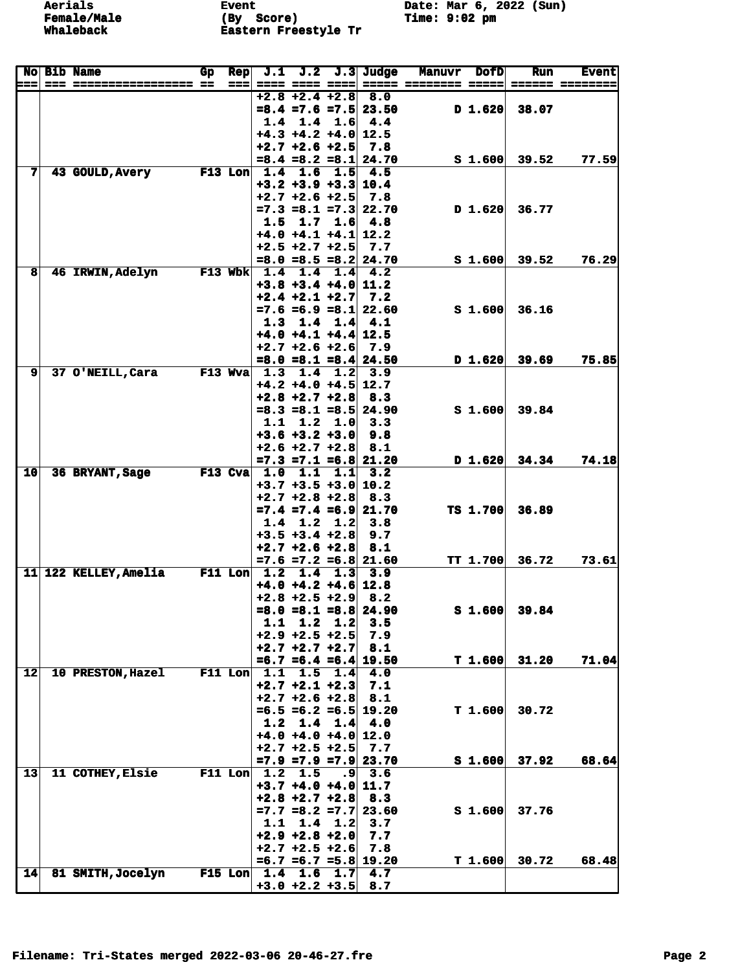**Event** (By Score)<br>Eastern Freestyle Tr Date: Mar 6, 2022 (Sun)<br>Time: 9:02 pm

|                         | <b>No Bib Name</b>      | Gp | <b>Rep</b> | J.1 |                                               |                 | $J.2$ $J.3$ Judge                 | <b>Manuvr</b>        | <b>DofD</b>        | <b>Run</b>                   | <b>Event</b> |
|-------------------------|-------------------------|----|------------|-----|-----------------------------------------------|-----------------|-----------------------------------|----------------------|--------------------|------------------------------|--------------|
| 622                     |                         |    | ===        |     | ==== ==== ==== <br>$+2.8 + 2.4 + 2.8$ 8.0     |                 |                                   | ===== ======== ===== |                    |                              |              |
|                         |                         |    |            |     |                                               |                 | $=8.4$ =7.6 =7.5 23.50            |                      | D 1.620            | 38.07                        |              |
|                         |                         |    |            | 1.4 |                                               | $1.4 \quad 1.6$ | 4.4                               |                      |                    |                              |              |
|                         |                         |    |            |     | $+4.3 +4.2 +4.0$ 12.5                         |                 |                                   |                      |                    |                              |              |
|                         |                         |    |            |     | $+2.7$ $+2.6$ $+2.5$                          |                 | 7.8<br>$=8.4$ $=8.2$ $=8.1$ 24.70 |                      | S <sub>1.600</sub> | 39.52                        | 77.59        |
| 7                       | 43 GOULD, Avery         |    |            |     | $F13$ Lon $1.4$ 1.6                           | 1.5             | 4.5                               |                      |                    |                              |              |
|                         |                         |    |            |     | $+3.2$ $+3.9$ $+3.3$ 10.4                     |                 |                                   |                      |                    |                              |              |
|                         |                         |    |            |     | $+2.7$ $+2.6$ $+2.5$                          |                 | 7.8                               |                      |                    |                              |              |
|                         |                         |    |            |     |                                               |                 | $=7.3$ $=8.1$ $=7.3$ 22.70        |                      | D 1.620            | 36.77                        |              |
|                         |                         |    |            |     | 1.5 1.7<br>$+4.0 +4.1 +4.1$ 12.2              |                 | $1.6 \, 4.8$                      |                      |                    |                              |              |
|                         |                         |    |            |     | $+2.5 +2.7 +2.5$                              |                 | 7.7                               |                      |                    |                              |              |
|                         |                         |    |            |     |                                               |                 | $=8.0$ $=8.5$ $=8.2$ 24.70        |                      | S <sub>1.600</sub> | 39.52                        | 76.29        |
| $\overline{\mathbf{8}}$ | <b>46 IRWIN, Adelyn</b> |    | $F13$ Wbk  | 1.4 | 1.4                                           | 1.4             | 4.2                               |                      |                    |                              |              |
|                         |                         |    |            |     | $+3.8$ $+3.4$ $+4.0$ 11.2                     |                 |                                   |                      |                    |                              |              |
|                         |                         |    |            |     | $+2.4 +2.1 +2.7$                              |                 | 7.2<br>$=7.6 = 6.9 = 8.1$ 22.60   |                      | S <sub>1.600</sub> | 36.16                        |              |
|                         |                         |    |            | 1.3 |                                               | $1.4$ 1.4       | 4.1                               |                      |                    |                              |              |
|                         |                         |    |            |     | $+4.0 +4.1 +4.4$ 12.5                         |                 |                                   |                      |                    |                              |              |
|                         |                         |    |            |     | $+2.7 + 2.6 + 2.6$                            |                 | 7.9                               |                      |                    |                              |              |
|                         |                         |    |            |     |                                               |                 | $=8.0$ =8.1 =8.4 24.50            |                      | D 1.620            | 39.69                        | 75.85        |
| 9                       | 37 O'NEILL, Cara        |    |            |     | F13 Wva 1.3 1.4 1.2                           |                 | 3.9                               |                      |                    |                              |              |
|                         |                         |    |            |     | $+4.2 +4.0 +4.5$ 12.7<br>$+2.8$ $+2.7$ $+2.8$ |                 | 8.3                               |                      |                    |                              |              |
|                         |                         |    |            |     |                                               |                 | $=8.3$ =8.1 =8.5 24.90            |                      | S <sub>1.600</sub> | 39.84                        |              |
|                         |                         |    |            |     | $1.1$ $1.2$ $1.0$                             |                 | 3.3                               |                      |                    |                              |              |
|                         |                         |    |            |     | $+3.6 +3.2 +3.0$                              |                 | 9.8                               |                      |                    |                              |              |
|                         |                         |    |            |     | $+2.6 +2.7 +2.8$                              |                 | 8.1                               |                      |                    |                              |              |
| 10                      |                         |    |            |     | F13 Cva $1.0$ 1.1                             |                 | $=7.3$ =7.1 =6.8 21.20            |                      | $D$ 1.620          | 34.34                        | 74.18        |
|                         | 36 BRYANT, Sage         |    |            |     | $+3.7 +3.5 +3.0   10.2$                       | 1.1             | 3.2                               |                      |                    |                              |              |
|                         |                         |    |            |     | $+2.7 + 2.8 + 2.8$                            |                 | 8.3                               |                      |                    |                              |              |
|                         |                         |    |            |     |                                               |                 | $=7.4$ $=7.4$ $=6.9$ 21.70        |                      | <b>TS 1.700</b>    | 36.89                        |              |
|                         |                         |    |            | 1.4 | 1.2                                           | 1.2             | 3.8                               |                      |                    |                              |              |
|                         |                         |    |            |     | $+3.5 +3.4 +2.8$                              |                 | 9.7                               |                      |                    |                              |              |
|                         |                         |    |            |     | $+2.7 + 2.6 + 2.8$                            |                 | 8.1<br>$=7.6$ $=7.2$ $=6.8$ 21.60 |                      | <b>TT 1.700</b>    | 36.72                        | 73.61        |
|                         | 11 122 KELLEY, Amelia   |    | $F11$ Lon  | 1.2 | 1.4                                           | 1.3             | 3.9                               |                      |                    |                              |              |
|                         |                         |    |            |     | $+4.0 +4.2 +4.6$ 12.8                         |                 |                                   |                      |                    |                              |              |
|                         |                         |    |            |     | $+2.8 + 2.5 + 2.9$                            |                 | 8.2                               |                      |                    |                              |              |
|                         |                         |    |            |     |                                               |                 | $=8.0$ =8.1 =8.8 24.90            |                      |                    | $\boldsymbol{S}$ 1.600 39.84 |              |
|                         |                         |    |            |     | $1.1$ $1.2$ $1.2$<br>$+2.9 +2.5 +2.5$         |                 | 3.5<br>7.9                        |                      |                    |                              |              |
|                         |                         |    |            |     | $+2.7$ $+2.7$ $+2.7$ 8.1                      |                 |                                   |                      |                    |                              |              |
|                         |                         |    |            |     |                                               |                 | $=6.7$ =6.4 =6.4 19.50            |                      | T 1.600            | 31.20                        | 71.04        |
| 12                      | 10 PRESTON, Hazel       |    |            |     | $F11$ Lon $1.1$ $1.5$                         | 1.4             | 4.0                               |                      |                    |                              |              |
|                         |                         |    |            |     | $+2.7 +2.1 +2.3$                              |                 | 7.1                               |                      |                    |                              |              |
|                         |                         |    |            |     | $+2.7 + 2.6 + 2.8$                            |                 | 8.1                               |                      |                    |                              |              |
|                         |                         |    |            |     | $1.2 \quad 1.4$                               | 1.4             | $=6.5 = 6.2 = 6.5$ 19.20<br>4.0   |                      | T 1.600            | 30.72                        |              |
|                         |                         |    |            |     | $+4.0 +4.0 +4.0  12.0$                        |                 |                                   |                      |                    |                              |              |
|                         |                         |    |            |     | $+2.7 + 2.5 + 2.5$                            |                 | 7.7                               |                      |                    |                              |              |
|                         |                         |    |            |     |                                               |                 | $=7.9$ $=7.9$ $=7.9$ 23.70        |                      | S <sub>1.600</sub> | 37.92                        | 68.64        |
| 13                      | 11 COTHEY, Elsie        |    |            |     | F11 Lon $\vert$ 1.2 1.5                       |                 | $.9 \, 3.6$                       |                      |                    |                              |              |
|                         |                         |    |            |     | $+3.7 +4.0 +4.0$ 11.7                         |                 |                                   |                      |                    |                              |              |
|                         |                         |    |            |     | $+2.8 + 2.7 + 2.8$                            |                 | 8.3<br>$=7.7$ $=8.2$ $=7.7$ 23.60 |                      | S <sub>1.600</sub> | 37.76                        |              |
|                         |                         |    |            |     | $1.1$ 1.4 1.2                                 |                 | 3.7                               |                      |                    |                              |              |
|                         |                         |    |            |     | $+2.9 +2.8 +2.0$                              |                 | 7.7                               |                      |                    |                              |              |
|                         |                         |    |            |     | $+2.7 + 2.5 + 2.6$                            |                 | 7.8                               |                      |                    |                              |              |
|                         |                         |    |            |     |                                               |                 | $=6.7$ =6.7 =5.8 19.20            |                      | T 1.600            | 30.72                        | 68.48        |
| 14                      | 81 SMITH, Jocelyn       |    |            |     |                                               |                 | F15 Lon 1.4 1.6 1.7 4.7           |                      |                    |                              |              |
|                         |                         |    |            |     | $+3.0 +2.2 +3.5$ 8.7                          |                 |                                   |                      |                    |                              |              |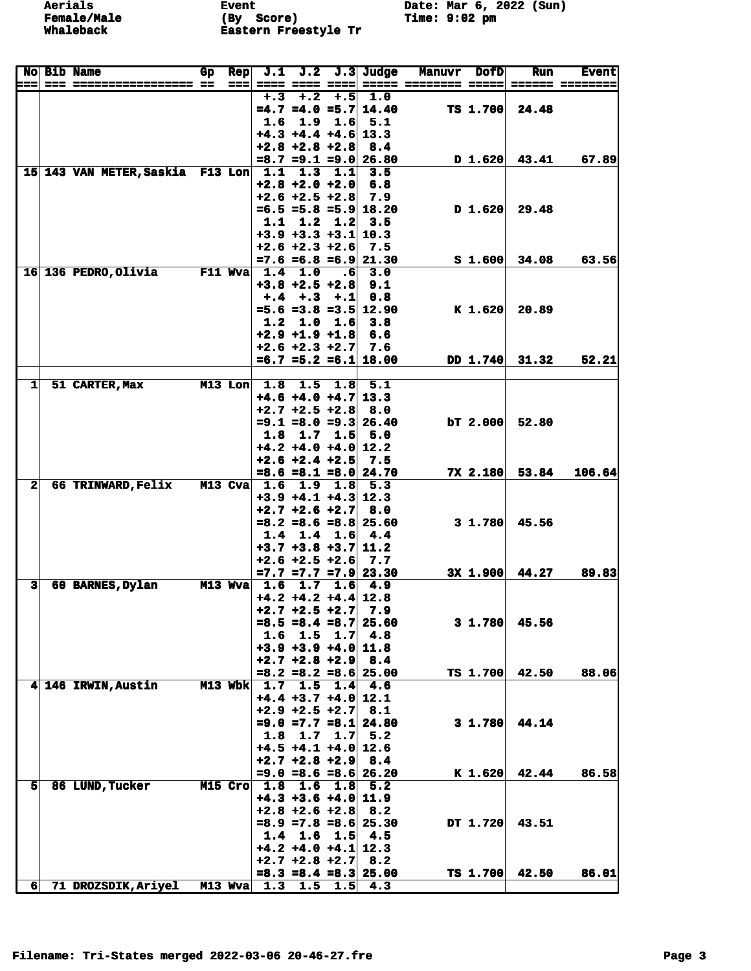**Event (By** Score)<br>Eastern Freestyle Tr Date: Mar 6, 2022 (Sun)<br>Time: 9:02 pm

| $==$                    | <b>No Bib Name</b>               | Gp | <b>Rep</b><br>=== | J.1                     | J.2<br>==== ==== ====                         |                 | $J.3$ Judge                 | <b>Manuvr</b><br>===== ======== ===== ====== ======= | <b>DofD</b>        | <b>Run</b>       | <b>Event</b> |
|-------------------------|----------------------------------|----|-------------------|-------------------------|-----------------------------------------------|-----------------|-----------------------------|------------------------------------------------------|--------------------|------------------|--------------|
|                         |                                  |    |                   |                         | $+.3 + .2$                                    |                 | $+ .5 1.0$                  |                                                      |                    |                  |              |
|                         |                                  |    |                   |                         |                                               |                 | $=4.7$ =4.0 =5.7 14.40      |                                                      | TS 1.700           | 24.48            |              |
|                         |                                  |    |                   |                         | $1.6$ 1.9                                     |                 | $1.6$ 5.1                   |                                                      |                    |                  |              |
|                         |                                  |    |                   |                         | $+4.3 +4.4 +4.6$ 13.3<br>$+2.8$ $+2.8$ $+2.8$ |                 | 8.4                         |                                                      |                    |                  |              |
|                         |                                  |    |                   |                         |                                               |                 | $=8.7$ $=9.1$ $=9.0$ 26.80  |                                                      |                    | $D$ 1.620 43.41  | 67.89        |
|                         | 15 143 VAN METER, Saskia F13 Lon |    |                   | 1.1                     | 1.3                                           | 1.1             | 3.5                         |                                                      |                    |                  |              |
|                         |                                  |    |                   |                         | $+2.8 + 2.0 + 2.0$                            |                 | 6.8                         |                                                      |                    |                  |              |
|                         |                                  |    |                   |                         | $+2.6 + 2.5 + 2.8$ 7.9                        |                 |                             |                                                      |                    |                  |              |
|                         |                                  |    |                   |                         |                                               |                 | $=6.5 = 5.8 = 5.9$ 18.20    |                                                      | $D$ 1.620          | 29.48            |              |
|                         |                                  |    |                   | 1.1                     | $+3.9 +3.3 +3.1   10.3$                       | $1.2 \quad 1.2$ | 3.5                         |                                                      |                    |                  |              |
|                         |                                  |    |                   |                         | $+2.6 + 2.3 + 2.6$                            |                 | 7.5                         |                                                      |                    |                  |              |
|                         |                                  |    |                   |                         |                                               |                 | $=7.6$ =6.8 =6.9 21.30      |                                                      | S <sub>1.600</sub> | 34.08            | 63.56        |
|                         | 16 136 PEDRO, Olivia F11 Wva     |    |                   |                         | 1.4 1.0                                       | .6 <sub>1</sub> | 3.0                         |                                                      |                    |                  |              |
|                         |                                  |    |                   |                         | $+3.8$ $+2.5$ $+2.8$                          |                 | 9.1                         |                                                      |                    |                  |              |
|                         |                                  |    |                   |                         | $+, 4$ +, 3 +, 1                              |                 | 0.8                         |                                                      |                    |                  |              |
|                         |                                  |    |                   |                         |                                               |                 | $=5.6 = 3.8 = 3.5   12.90$  |                                                      | $K$ 1.620          | 20.89            |              |
|                         |                                  |    |                   | 1.2                     | 1.0<br>$+2.9$ $+1.9$ $+1.8$ 6.6               | 1.6             | 3.8                         |                                                      |                    |                  |              |
|                         |                                  |    |                   |                         | $+2.6 + 2.3 + 2.7$ 7.6                        |                 |                             |                                                      |                    |                  |              |
|                         |                                  |    |                   |                         |                                               |                 | $=6.7$ $=5.2$ $=6.1$ 18.00  |                                                      |                    | DD 1.740 31.32   | 52.21        |
|                         |                                  |    |                   |                         |                                               |                 |                             |                                                      |                    |                  |              |
| 1                       | 51 CARTER, Max                   |    | $M13$ Lon         |                         | 1.8 1.5                                       |                 | $1.8 \, 5.1$                |                                                      |                    |                  |              |
|                         |                                  |    |                   |                         | $+4.6 +4.0 +4.7$ 13.3                         |                 |                             |                                                      |                    |                  |              |
|                         |                                  |    |                   |                         | $+2.7$ $+2.5$ $+2.8$ 8.0                      |                 |                             |                                                      |                    |                  |              |
|                         |                                  |    |                   |                         |                                               |                 | $= 9.1$ = 8.0 = 9.3 26.40   |                                                      | $bT$ 2.000         | 52.80            |              |
|                         |                                  |    |                   | 1.8                     | 1.7<br>$+4.2 +4.0 +4.0  12.2$                 | 1.5             | 5.0                         |                                                      |                    |                  |              |
|                         |                                  |    |                   |                         | $+2.6 + 2.4 + 2.5$                            |                 | 7.5                         |                                                      |                    |                  |              |
|                         |                                  |    |                   |                         |                                               |                 | $=8.6 = 8.1 = 8.0$ 24.70    |                                                      | 7X 2.180           | 53.84            | 106.64       |
| $\mathbf{2}$            | <b>66 TRINWARD, Felix</b>        |    | $M13$ Cva         | 1.6                     | 1.9                                           |                 | $1.8$ 5.3                   |                                                      |                    |                  |              |
|                         |                                  |    |                   |                         | $+3.9$ $+4.1$ $+4.3$ 12.3                     |                 |                             |                                                      |                    |                  |              |
|                         |                                  |    |                   |                         | $+2.7$ $+2.6$ $+2.7$                          |                 | 8.0                         |                                                      |                    |                  |              |
|                         |                                  |    |                   | 1.4                     |                                               |                 | $=8.2$ =8.6 =8.8 25.60      |                                                      | $3 \; 1.780$       | 45.56            |              |
|                         |                                  |    |                   |                         | 1.4<br>$+3.7 +3.8 +3.7$ 11.2                  |                 | $1.6 \, 4.4$                |                                                      |                    |                  |              |
|                         |                                  |    |                   |                         | $+2.6 + 2.5 + 2.6$ 7.7                        |                 |                             |                                                      |                    |                  |              |
|                         |                                  |    |                   |                         |                                               |                 | $=7.7$ $=7.7$ $=7.9$ 23.30  |                                                      |                    | $3x$ 1.900 44.27 | 89.83        |
| $\overline{\mathbf{3}}$ | 60 BARNES, Dylan                 |    | $M13$ Wva         |                         | 1.6 1.7                                       |                 | $1.6$ 4.9                   |                                                      |                    |                  |              |
|                         |                                  |    |                   |                         | $+4.2 +4.2 +4.4$ 12.8                         |                 |                             |                                                      |                    |                  |              |
|                         |                                  |    |                   |                         | $+2.7 + 2.5 + 2.7$                            |                 | 7.9                         |                                                      |                    |                  |              |
|                         |                                  |    |                   |                         | $1.6$ $1.5$                                   |                 | $=8.5 = 8.4 = 8.7$ 25.60    |                                                      | $3 \; 1.780$       | 45.56            |              |
|                         |                                  |    |                   |                         | $+3.9 +3.9 +4.0$ 11.8                         |                 | $1.7 \, 4.8$                |                                                      |                    |                  |              |
|                         |                                  |    |                   |                         | $+2.7 + 2.8 + 2.9$ 8.4                        |                 |                             |                                                      |                    |                  |              |
|                         |                                  |    |                   |                         |                                               |                 | $=8.2$ $=8.2$ $=8.6$ 25.00  |                                                      | <b>TS 1.700</b>    | 42.50            | 88.06        |
|                         | 4 146 IRWIN, Austin              |    | $M13$ Wbk         |                         | $1.7$ $1.5$ $1.4$ $4.6$                       |                 |                             |                                                      |                    |                  |              |
|                         |                                  |    |                   |                         | $+4.4 +3.7 +4.0$ 12.1                         |                 |                             |                                                      |                    |                  |              |
|                         |                                  |    |                   |                         | $+2.9 + 2.5 + 2.7$ 8.1                        |                 |                             |                                                      |                    |                  |              |
|                         |                                  |    |                   |                         |                                               |                 | $= 9.0 = 7.7 = 8.1   24.80$ |                                                      | $3 \; 1.780$       | 44.14            |              |
|                         |                                  |    |                   |                         | $1.8$ 1.7 1.7 5.2<br>$+4.5 +4.1 +4.0$ 12.6    |                 |                             |                                                      |                    |                  |              |
|                         |                                  |    |                   |                         | $+2.7 + 2.8 + 2.9$ 8.4                        |                 |                             |                                                      |                    |                  |              |
|                         |                                  |    |                   |                         |                                               |                 | $= 9.0 = 8.6 = 8.6   26.20$ |                                                      | $K$ 1.620          | 42.44            | 86.58        |
| 51                      | 86 LUND, Tucker                  |    |                   | M15 Cro 1.8 1.6 1.8 5.2 |                                               |                 |                             |                                                      |                    |                  |              |
|                         |                                  |    |                   |                         | $+4.3 +3.6 +4.0$ 11.9                         |                 |                             |                                                      |                    |                  |              |
|                         |                                  |    |                   |                         | $+2.8$ $+2.6$ $+2.8$ 8.2                      |                 |                             |                                                      |                    |                  |              |
|                         |                                  |    |                   |                         |                                               |                 | $=8.9$ =7.8 =8.6 25.30      |                                                      | DT 1.720           | 43.51            |              |
|                         |                                  |    |                   |                         | $1.4$ 1.6 1.5 4.5<br>$+4.2 +4.0 +4.1$ 12.3    |                 |                             |                                                      |                    |                  |              |
|                         |                                  |    |                   |                         | $+2.7$ $+2.8$ $+2.7$ 8.2                      |                 |                             |                                                      |                    |                  |              |
|                         |                                  |    |                   |                         |                                               |                 | $=8.3$ $=8.4$ $=8.3$ 25.00  |                                                      |                    | TS 1.700 42.50   | 86.01        |
| 6 <sup>1</sup>          | 71 DROZSDIK, Ariyel              |    |                   | M13 Wva 1.3 1.5 1.5 4.3 |                                               |                 |                             |                                                      |                    |                  |              |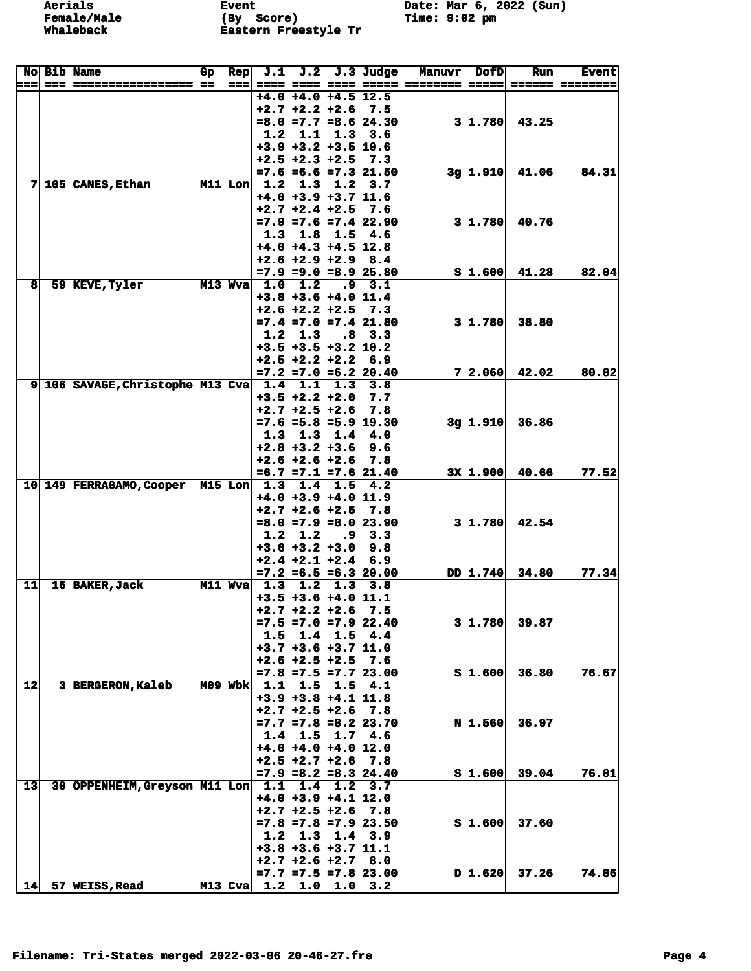**Event** (By Score)<br>Eastern Freestyle Tr Date: Mar 6, 2022 (Sun)<br>Time: 9:02 pm

|     | <b>No Bib Name</b>                | Gp | Rep       | J.1 | J.2                                      |           | $J.3$ Judge                        | Manuvr               | <b>DofD</b>        | Run   | <b>Event</b>    |
|-----|-----------------------------------|----|-----------|-----|------------------------------------------|-----------|------------------------------------|----------------------|--------------------|-------|-----------------|
| === |                                   |    | ===       |     | ==== ==== ====                           |           |                                    | ARABA ARABARAN ARABA |                    |       | ====== ======== |
|     |                                   |    |           |     | $+4.0 +4.0 +4.5$<br>$+2.7 + 2.2 + 2.6$   |           | 12.5<br>7.5                        |                      |                    |       |                 |
|     |                                   |    |           |     |                                          |           | $=8.0$ $=7.7$ $=8.6$ 24.30         |                      | $3 \; 1.780$       | 43.25 |                 |
|     |                                   |    |           | 1.2 | 1.1                                      | 1.3       | 3.6                                |                      |                    |       |                 |
|     |                                   |    |           |     | $+3.9$ $+3.2$ $+3.5$ 10.6                |           |                                    |                      |                    |       |                 |
|     |                                   |    |           |     | $+2.5 + 2.3 + 2.5$                       |           | 7.3                                |                      |                    |       |                 |
|     |                                   |    |           |     |                                          |           | $=7.6$ =6.6 =7.3 21.50             |                      | $3g$ 1.910         | 41.06 | 84.31           |
|     | $7 105$ CANES, Ethan              |    | $M11$ Lon | 1.2 | 1.3                                      | 1.2       | 3.7                                |                      |                    |       |                 |
|     |                                   |    |           |     | $+4.0 +3.9 +3.7$                         |           | 11.6                               |                      |                    |       |                 |
|     |                                   |    |           |     | $+2.7 + 2.4 + 2.5$                       |           | 7.6                                |                      |                    |       |                 |
|     |                                   |    |           | 1.3 | 1.8                                      | 1.5       | $=7.9$ $=7.6$ $=7.4$ 22.90<br>-4.6 |                      | $3 \; 1.780$       | 40.76 |                 |
|     |                                   |    |           |     | $+4.0 +4.3 +4.5$ 12.8                    |           |                                    |                      |                    |       |                 |
|     |                                   |    |           |     | $+2.6 + 2.9 + 2.9$                       |           | 8.4                                |                      |                    |       |                 |
|     |                                   |    |           |     |                                          |           | $=7.9$ $=9.0$ $=8.9$ 25.80         |                      | S <sub>1.600</sub> | 41.28 | 82.04           |
| 8   | 59 KEVE, Tyler                    |    | $M13$ Wva | 1.0 | 1.2                                      | ا9.       | 3.1                                |                      |                    |       |                 |
|     |                                   |    |           |     | $+3.8$ $+3.6$ $+4.0$ 11.4                |           |                                    |                      |                    |       |                 |
|     |                                   |    |           |     | $+2.6 + 2.2 + 2.5$                       |           | 7.3                                |                      |                    |       |                 |
|     |                                   |    |           |     |                                          |           | $=7.4$ $=7.0$ $=7.4$ 21.80         |                      | $3 \; 1.780$       | 38.80 |                 |
|     |                                   |    |           | 1.2 | 1.3                                      | .8        | 3.3                                |                      |                    |       |                 |
|     |                                   |    |           |     | $+3.5$ $+3.5$ $+3.2$ 10.2                |           |                                    |                      |                    |       |                 |
|     |                                   |    |           |     | $+2.5 +2.2 +2.2$                         |           | 6.9                                |                      |                    |       |                 |
|     | 9 106 SAVAGE, Christophe M13 Cva  |    |           | 1.4 | 1.1                                      | 1.3       | $=7.2$ =7.0 =6.2 20.40<br>3.8      |                      | 72.060             | 42.02 | 80.82           |
|     |                                   |    |           |     | $+3.5 +2.2 +2.0$                         |           | 7.7                                |                      |                    |       |                 |
|     |                                   |    |           |     | $+2.7 + 2.5 + 2.6$                       |           | 7.8                                |                      |                    |       |                 |
|     |                                   |    |           |     |                                          |           | $=7.6$ =5.8 =5.9 19.30             |                      | $3g$ 1.910         | 36.86 |                 |
|     |                                   |    |           | 1.3 | 1.3                                      | 1.4       | 4.0                                |                      |                    |       |                 |
|     |                                   |    |           |     | $+2.8 + 3.2 + 3.6$                       |           | 9.6                                |                      |                    |       |                 |
|     |                                   |    |           |     | $+2.6 + 2.6 + 2.6$                       |           | 7.8                                |                      |                    |       |                 |
|     |                                   |    |           |     |                                          |           | $=6.7$ $=7.1$ $=7.6$ 21.40         |                      | 3X 1.900           | 40.66 | 77.52           |
|     | 10 149 FERRAGAMO, Cooper M15 Lon  |    |           | 1.3 | 1.4                                      | 1.5       | -4.2                               |                      |                    |       |                 |
|     |                                   |    |           |     | $+4.0 +3.9 +4.0$                         |           | 11.9                               |                      |                    |       |                 |
|     |                                   |    |           |     | $+2.7 + 2.6 + 2.5$<br>$=8.0 = 7.9 = 8.0$ |           | 7.8<br>23.90                       |                      | 31.780             | 42.54 |                 |
|     |                                   |    |           | 1.2 | 1.2                                      | ٠9        | 3.3                                |                      |                    |       |                 |
|     |                                   |    |           |     | $+3.6 +3.2 +3.0$                         |           | 9.8                                |                      |                    |       |                 |
|     |                                   |    |           |     | $+2.4 +2.1 +2.4$                         |           | 6.9                                |                      |                    |       |                 |
|     |                                   |    |           |     |                                          |           | $=7.2$ $=6.5$ $=6.3$ 20.00         |                      | DD 1.740           | 34.80 | 77.34           |
| 11  | 16 BAKER, Jack                    |    | M11 Wva   | 1.3 | 1.2                                      | 1.3       | 3.8                                |                      |                    |       |                 |
|     |                                   |    |           |     | $+3.5 +3.6 +4.0$                         |           | 11.1                               |                      |                    |       |                 |
|     |                                   |    |           |     | $+2.7 + 2.2 + 2.6$                       |           | 7.5                                |                      |                    |       |                 |
|     |                                   |    |           |     |                                          |           | $=7.5 = 7.0 = 7.9$ 22.40           |                      | $3 \; 1.780$       | 39.87 |                 |
|     |                                   |    |           |     | $1.5 \t1.4$<br>$+3.7$ $+3.6$ $+3.7$ 11.0 | 1.5       | 4.4                                |                      |                    |       |                 |
|     |                                   |    |           |     | $+2.6 + 2.5 + 2.5$                       |           | 7.6                                |                      |                    |       |                 |
|     |                                   |    |           |     |                                          |           | $=7.8$ $=7.5$ $=7.7$ 23.00         |                      | $S_1.600$          | 36.80 | 76.67           |
| 12  | 3 BERGERON, Kaleb                 |    |           |     | M09 Wbk 1.1 1.5 1.5                      |           | 4.1                                |                      |                    |       |                 |
|     |                                   |    |           |     | $+3.9 +3.8 +4.1$ 11.8                    |           |                                    |                      |                    |       |                 |
|     |                                   |    |           |     | $+2.7 + 2.5 + 2.6$                       |           | 7.8                                |                      |                    |       |                 |
|     |                                   |    |           |     |                                          |           | $=7.7$ =7.8 =8.2 23.70             |                      | <b>N</b> 1.560     | 36.97 |                 |
|     |                                   |    |           |     | $1.4$ 1.5                                | 1.7       | 4.6                                |                      |                    |       |                 |
|     |                                   |    |           |     | $+4.0 +4.0 +4.0$ 12.0                    |           |                                    |                      |                    |       |                 |
|     |                                   |    |           |     | $+2.5 +2.7 +2.6$                         |           | 7.8                                |                      |                    |       |                 |
| 13  |                                   |    |           |     |                                          |           | $=7.9$ =8.2 =8.3 24.40             |                      | S <sub>1.600</sub> | 39.04 | 76.01           |
|     | 30 OPPENHEIM, Greyson M11 Lon 1.1 |    |           |     | $+4.0 +3.9 +4.1$ 12.0                    | $1.4$ 1.2 | 3.7                                |                      |                    |       |                 |
|     |                                   |    |           |     | $+2.7$ $+2.5$ $+2.6$                     |           | 7.8                                |                      |                    |       |                 |
|     |                                   |    |           |     |                                          |           | $=7.8$ =7.8 =7.9 23.50             |                      | $S_1.600$          | 37.60 |                 |
|     |                                   |    |           |     | $1.2$ 1.3 1.4                            |           | 3.9                                |                      |                    |       |                 |
|     |                                   |    |           |     | $+3.8 +3.6 +3.7   11.1$                  |           |                                    |                      |                    |       |                 |
|     |                                   |    |           |     | $+2.7 + 2.6 + 2.7$ 8.0                   |           |                                    |                      |                    |       |                 |
|     |                                   |    |           |     |                                          |           | $=7.7$ $=7.5$ $=7.8$ 23.00         |                      | D 1.620            | 37.26 | 74.86           |
| 14  | 57 WEISS, Read                    |    |           |     |                                          |           | M13 Cva 1.2 1.0 1.0 3.2            |                      |                    |       |                 |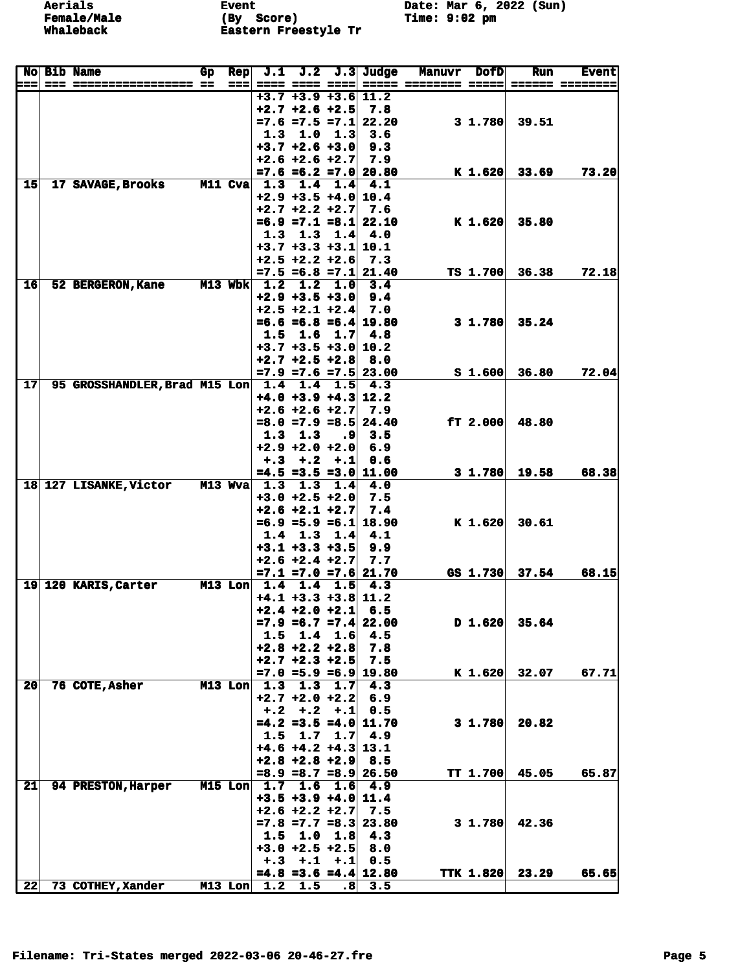**Aerials** Event Event Date: Mar 6, 2022 (Sun)<br> **Female/Male** (By Score) Time: 9:02 pm **Female/Male (By Score) Time: 9:02 pm Whaleback Eastern Freestyle Tr** 

|     | No Bib Name                       | Gp | <b>Rep</b>        | J.1 |                                              |                 | $J.2$ $J.3$ Judge                 | <b>Manuvr</b>        | <b>DofD</b>        | <b>Run</b>               | <b>Event</b> |
|-----|-----------------------------------|----|-------------------|-----|----------------------------------------------|-----------------|-----------------------------------|----------------------|--------------------|--------------------------|--------------|
| ⊨== |                                   |    | $=$ $=$ $=$ $\pm$ |     | ==== ==== ====                               |                 |                                   | ===== ======== ===== |                    |                          |              |
|     |                                   |    |                   |     | $+3.7 +3.9 +3.6$ 11.2                        |                 |                                   |                      |                    |                          |              |
|     |                                   |    |                   |     | $+2.7 + 2.6 + 2.5$                           |                 | 7.8<br>$=7.6$ $=7.5$ $=7.1$ 22.20 |                      | $3 \; 1.780$       | 39.51                    |              |
|     |                                   |    |                   | 1.3 | 1.0                                          | 1.3             | 3.6                               |                      |                    |                          |              |
|     |                                   |    |                   |     | $+3.7 +2.6 +3.0$                             |                 | 9.3                               |                      |                    |                          |              |
|     |                                   |    |                   |     | $+2.6 + 2.6 + 2.7$                           |                 | 7.9                               |                      |                    |                          |              |
|     |                                   |    |                   |     |                                              |                 | $=7.6$ $=6.2$ $=7.0$ 20.80        |                      | $K$ 1.620          | 33.69                    | 73.20        |
| 15  | 17 SAVAGE, Brooks                 |    | <b>M11 Cva</b>    |     | $1.3$ $1.4$ $1.4$                            |                 | 4.1                               |                      |                    |                          |              |
|     |                                   |    |                   |     | $+2.9 +3.5 +4.0   10.4$                      |                 |                                   |                      |                    |                          |              |
|     |                                   |    |                   |     | $+2.7 + 2.2 + 2.7$                           |                 | 7.6                               |                      |                    |                          |              |
|     |                                   |    |                   |     |                                              |                 | $=6.9$ $=7.1$ $=8.1$ 22.10        |                      | $K$ 1.620          | 35.80                    |              |
|     |                                   |    |                   | 1.3 | $+3.7$ $+3.3$ $+3.1$ 10.1                    | $1.3 \t1.4$     | 4.0                               |                      |                    |                          |              |
|     |                                   |    |                   |     | $+2.5 +2.2 +2.6$                             |                 | 7.3                               |                      |                    |                          |              |
|     |                                   |    |                   |     |                                              |                 | $=7.5 = 6.8 = 7.1$ 21.40          |                      | TS 1.700           | 36.38                    | 72.18        |
| 16  | 52 BERGERON, Kane                 |    |                   |     | M13 Wbk $1.2$ 1.2 1.0                        |                 | 3.4                               |                      |                    |                          |              |
|     |                                   |    |                   |     | $+2.9 +3.5 +3.0$                             |                 | 9.4                               |                      |                    |                          |              |
|     |                                   |    |                   |     | $+2.5 +2.1 +2.4$                             |                 | 7.0                               |                      |                    |                          |              |
|     |                                   |    |                   |     |                                              |                 | $=6.6 = 6.8 = 6.4$ 19.80          |                      | 31.780             | 35.24                    |              |
|     |                                   |    |                   | 1.5 | 1.6                                          | 1.7             | 4.8                               |                      |                    |                          |              |
|     |                                   |    |                   |     | $+3.7 +3.5 +3.0  10.2$<br>$+2.7 + 2.5 + 2.8$ |                 | 8.0                               |                      |                    |                          |              |
|     |                                   |    |                   |     |                                              |                 | $=7.9$ $=7.6$ $=7.5$ 23.00        |                      | S <sub>1.600</sub> | 36.80                    | 72.04        |
| 17  | 95 GROSSHANDLER, Brad M15 Lon 1.4 |    |                   |     | 1.4                                          | 1.5             | 4.3                               |                      |                    |                          |              |
|     |                                   |    |                   |     | $+4.0 +3.9 +4.3$ 12.2                        |                 |                                   |                      |                    |                          |              |
|     |                                   |    |                   |     | $+2.6 + 2.6 + 2.7$                           |                 | 7.9                               |                      |                    |                          |              |
|     |                                   |    |                   |     |                                              |                 | $=8.0$ =7.9 =8.5 24.40            |                      | ET 2.000           | 48.80                    |              |
|     |                                   |    |                   | 1.3 | 1.3                                          | ٠9              | 3.5                               |                      |                    |                          |              |
|     |                                   |    |                   |     | $+2.9 +2.0 +2.0$                             |                 | 6.9                               |                      |                    |                          |              |
|     |                                   |    |                   |     | $+,3$ +.2                                    | $+ .1$          | 0.6                               |                      |                    |                          |              |
|     | 18 127 LISANKE, Victor M13 Wva    |    |                   |     | 1.3 1.3 1.4                                  |                 | $=4.5 = 3.5 = 3.0   11.00$<br>4.0 |                      | 31.780             | 19.58                    | 68.38        |
|     |                                   |    |                   |     | $+3.0 + 2.5 + 2.0$                           |                 | 7.5                               |                      |                    |                          |              |
|     |                                   |    |                   |     | $+2.6 + 2.1 + 2.7$                           |                 | 7.4                               |                      |                    |                          |              |
|     |                                   |    |                   |     |                                              |                 | $=6.9$ =5.9 =6.1 18.90            |                      | $K$ 1.620          | 30.61                    |              |
|     |                                   |    |                   | 1.4 |                                              | $1.3 \t1.4$     | 4.1                               |                      |                    |                          |              |
|     |                                   |    |                   |     | $+3.1 +3.3 +3.5$                             |                 | 9.9                               |                      |                    |                          |              |
|     |                                   |    |                   |     | $+2.6 +2.4 +2.7$                             |                 | 7.7                               |                      |                    |                          |              |
|     |                                   |    |                   |     |                                              |                 | $=7.1$ $=7.0$ $=7.6$ 21.70        |                      | GS 1.730           | 37.54                    | 68.15        |
|     | 19 120 KARIS, Carter              |    | $M13$ Lon         | 1.4 | 1.4<br>$+4.1 +3.3 +3.8$ 11.2                 | 1.5             | 4.3                               |                      |                    |                          |              |
|     |                                   |    |                   |     | $+2.4 + 2.0 + 2.1$                           |                 | 6.5                               |                      |                    |                          |              |
|     |                                   |    |                   |     |                                              |                 | $=7.9$ $=6.7$ $=7.4$ 22.00        |                      | D 1.620            | 35.64                    |              |
|     |                                   |    |                   |     | $1.5$ 1.4 1.6                                |                 | 4.5                               |                      |                    |                          |              |
|     |                                   |    |                   |     | $+2.8 + 2.2 + 2.8$                           |                 | 7.8                               |                      |                    |                          |              |
|     |                                   |    |                   |     | $+2.7 + 2.3 + 2.5$                           |                 | 7.5                               |                      |                    |                          |              |
|     |                                   |    |                   |     |                                              |                 | $=7.0$ =5.9 =6.9 19.80            |                      |                    | $\mathbf{K}$ 1.620 32.07 | 67.71        |
| 20  | 76 COTE, Asher                    |    |                   |     |                                              |                 | M13 Lon $1.3$ 1.3 1.7 4.3         |                      |                    |                          |              |
|     |                                   |    |                   |     | $+2.7 + 2.0 + 2.2$                           |                 | 6.9                               |                      |                    |                          |              |
|     |                                   |    |                   |     | $+, 2 + .2 + .1$                             |                 | 0.5                               |                      | $3 \; 1.780$       | 20.82                    |              |
|     |                                   |    |                   |     | $1.5$ 1.7 1.7                                |                 | $=4.2$ =3.5 =4.0 11.70<br>4.9     |                      |                    |                          |              |
|     |                                   |    |                   |     | $+4.6 +4.2 +4.3$ 13.1                        |                 |                                   |                      |                    |                          |              |
|     |                                   |    |                   |     | $+2.8 +2.8 +2.9$                             |                 | 8.5                               |                      |                    |                          |              |
|     |                                   |    |                   |     |                                              |                 | $=8.9$ =8.7 =8.9 26.50            |                      | <b>TT 1.700</b>    | 45.05                    | 65.87        |
| 21  | <b>94 PRESTON, Harper</b>         |    |                   |     | $M15$ Lon $\mid 1.7$ 1.6                     | 1.6             | 4.9                               |                      |                    |                          |              |
|     |                                   |    |                   |     | $+3.5 +3.9 +4.0$ 11.4                        |                 |                                   |                      |                    |                          |              |
|     |                                   |    |                   |     | $+2.6 +2.2 +2.7$                             |                 | 7.5                               |                      |                    |                          |              |
|     |                                   |    |                   |     |                                              |                 | $=7.8$ $=7.7$ $=8.3$ 23.80        |                      | $3 \; 1.780$       | 42.36                    |              |
|     |                                   |    |                   |     | $1.5$ $1.0$ $1.8$                            |                 | 4.3<br>8.0                        |                      |                    |                          |              |
|     |                                   |    |                   |     | $+3.0 + 2.5 + 2.5$<br>$+,3$ $+,1$            | $+ .1$          | 0.5                               |                      |                    |                          |              |
|     |                                   |    |                   |     |                                              |                 | $=4.8$ =3.6 =4.4 12.80            |                      |                    | <b>TTK 1.820 23.29</b>   | 65.65        |
| 22  | 73 COTHEY, Xander                 |    |                   |     | $M13$ Lon $1.2$ 1.5                          | .8 <sub>1</sub> | 3.5                               |                      |                    |                          |              |
|     |                                   |    |                   |     |                                              |                 |                                   |                      |                    |                          |              |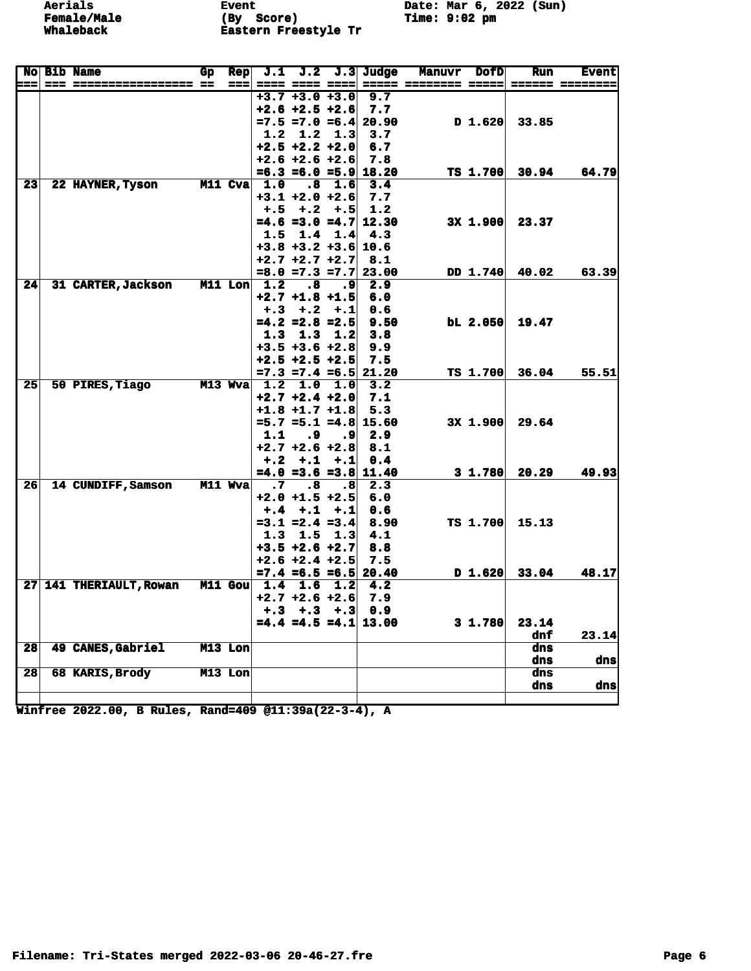**Event** (By Score)<br>Eastern Freestyle Tr Date: Mar 6, 2022 (Sun) Time: 9:02 pm

|                 |                            | No Bib Name                             | Gр | <b>Rep</b> |                      |                           |         | J.1 J.2 J.3 Judge          | <b>Manuvr</b> | <b>DofD</b>  | <b>Run</b> | <b>Event</b>    |
|-----------------|----------------------------|-----------------------------------------|----|------------|----------------------|---------------------------|---------|----------------------------|---------------|--------------|------------|-----------------|
|                 | $\qquad \qquad - \qquad -$ | _____________________                   |    | ===        |                      |                           |         |                            |               |              |            | ====== ======== |
|                 |                            |                                         |    |            |                      | $+3.7 +3.0 +3.0$          |         | 9.7                        |               |              |            |                 |
|                 |                            |                                         |    |            |                      | $+2.6 + 2.5 + 2.6$        |         | 7.7                        |               |              |            |                 |
|                 |                            |                                         |    |            |                      |                           |         | $=7.5 = 7.0 = 6.4$ 20.90   |               | D 1.620      | 33.85      |                 |
|                 |                            |                                         |    |            |                      | $1.2$ 1.2 1.3             |         | 3.7                        |               |              |            |                 |
|                 |                            |                                         |    |            |                      | $+2.5 +2.2 +2.0$          |         | 6.7                        |               |              |            |                 |
|                 |                            |                                         |    |            |                      | $+2.6 +2.6 +2.6$          |         | 7.8                        |               |              |            |                 |
|                 |                            |                                         |    |            |                      |                           |         | $=6.3$ $=6.0$ $=5.9$ 18.20 |               | TS 1.700     | 30.94      | 64.79           |
| 23              |                            | 22 HAYNER, Tyson                        |    |            | $M11$ Cva $1.0$      | $\cdot$ .8                | 1.6     | 3.4                        |               |              |            |                 |
|                 |                            |                                         |    |            |                      | $+3.1$ $+2.0$ $+2.6$      |         | 7.7                        |               |              |            |                 |
|                 |                            |                                         |    |            |                      | $+, 5 + .2$               | $+.5$   | 1.2                        |               |              |            |                 |
|                 |                            |                                         |    |            |                      |                           |         | $=4.6$ =3.0 =4.7 12.30     |               | 3X 1.900     | 23.37      |                 |
|                 |                            |                                         |    |            |                      | $1.5$ $1.4$ $1.4$         |         | 4.3                        |               |              |            |                 |
|                 |                            |                                         |    |            |                      | $+3.8$ $+3.2$ $+3.6$ 10.6 |         |                            |               |              |            |                 |
|                 |                            |                                         |    |            |                      | $+2.7 + 2.7 + 2.7$        |         | 8.1                        |               |              |            |                 |
|                 |                            |                                         |    |            |                      |                           |         | $=8.0$ $=7.3$ $=7.7$ 23.00 |               | DD 1.740     | 40.02      | 63.39           |
| 24              |                            | 31 CARTER, Jackson                      |    |            | $M11$ Lon $1.2$      | $\boldsymbol{\cdot}$ 8    | ا9.     | 2.9                        |               |              |            |                 |
|                 |                            |                                         |    |            |                      | $+2.7 +1.8 +1.5$          |         | 6.0                        |               |              |            |                 |
|                 |                            |                                         |    |            |                      | $+.3 + .2$                | $+ .1$  | 0.6                        |               |              |            |                 |
|                 |                            |                                         |    |            |                      | $=4.2$ =2.8 =2.5          |         | 9.50                       |               | $bL$ 2.050   | 19.47      |                 |
|                 |                            |                                         |    |            |                      | $1.3$ $1.3$               | 1.2     | 3.8                        |               |              |            |                 |
|                 |                            |                                         |    |            |                      | $+3.5 +3.6 +2.8$          |         | 9.9                        |               |              |            |                 |
|                 |                            |                                         |    |            |                      | $+2.5$ $+2.5$ $+2.5$      |         | 7.5                        |               |              |            |                 |
|                 |                            |                                         |    |            |                      |                           |         | $=7.3$ $=7.4$ $=6.5$ 21.20 |               | TS 1.700     | 36.04      | 55.51           |
| 25 <sub>1</sub> |                            | 50 PIRES, Tiago                         |    |            |                      | M13 Wva 1.2 1.0 1.0       |         | 3.2                        |               |              |            |                 |
|                 |                            |                                         |    |            |                      | $+2.7 + 2.4 + 2.0$        |         | 7.1                        |               |              |            |                 |
|                 |                            |                                         |    |            |                      | $+1.8$ $+1.7$ $+1.8$ 5.3  |         |                            |               |              |            |                 |
|                 |                            |                                         |    |            |                      |                           |         | $=5.7$ $=5.1$ $=4.8$ 15.60 |               | 3X 1.900     | 29.64      |                 |
|                 |                            |                                         |    |            | 1.1                  | $\cdot$ . 9               | ا9.     | 2.9                        |               |              |            |                 |
|                 |                            |                                         |    |            |                      | $+2.7 + 2.6 + 2.8$        |         | 8.1                        |               |              |            |                 |
|                 |                            |                                         |    |            |                      | $+.2 + .1$                | $+ . 1$ | 0.4                        |               |              |            |                 |
|                 |                            |                                         |    |            |                      |                           |         | $=4.0$ =3.6 =3.8 11.40     |               | $3 \; 1.780$ | 20.29      | 49.93           |
| 26              |                            | 14 CUNDIFF, Samson                      |    | $M11$ Wva  | $\cdot \overline{7}$ | $\boldsymbol{\cdot}$ 8    | .8      | 2.3                        |               |              |            |                 |
|                 |                            |                                         |    |            |                      | $+2.0 +1.5 +2.5$          |         | 6.0                        |               |              |            |                 |
|                 |                            |                                         |    |            |                      | $+,4$ +,1                 | $+ .1$  | 0.6                        |               |              |            |                 |
|                 |                            |                                         |    |            |                      | $=3.1$ $=2.4$ $=3.4$      |         | 8.90                       |               | TS 1.700     | 15.13      |                 |
|                 |                            |                                         |    |            | 1.3                  | 1.5                       | 1.3     | 4.1                        |               |              |            |                 |
|                 |                            |                                         |    |            |                      | $+3.5 +2.6 +2.7$          |         | 8.8                        |               |              |            |                 |
|                 |                            |                                         |    |            |                      | $+2.6 + 2.4 + 2.5$        |         | 7.5                        |               |              |            |                 |
|                 |                            |                                         |    |            |                      |                           |         | $=7.4$ $=6.5$ $=6.5$ 20.40 |               | $D_1.620$    | 33.04      | 48.17           |
|                 |                            | 27 141 THERIAULT, Rowan M11 Gou 1.4 1.6 |    |            |                      |                           | 1.2     | 4.2                        |               |              |            |                 |
|                 |                            |                                         |    |            |                      | $+2.7 + 2.6 + 2.6$        |         | 7.9                        |               |              |            |                 |
|                 |                            |                                         |    |            |                      | $+.3 + .3 + .3 + .3$      |         | 0.9                        |               |              |            |                 |
|                 |                            |                                         |    |            |                      |                           |         | $=4.4$ $=4.5$ $=4.1$ 13.00 |               | 3 1.780      | 23.14      |                 |
|                 |                            |                                         |    |            |                      |                           |         |                            |               |              | dnf        | 23.14           |
| 28              |                            | 49 CANES, Gabriel                       |    | M13 Lon    |                      |                           |         |                            |               |              | dns        |                 |
|                 |                            |                                         |    |            |                      |                           |         |                            |               |              | dns        | dns             |
| 28              |                            | 68 KARIS, Brody                         |    | $M13$ Lon  |                      |                           |         |                            |               |              | dns        |                 |
|                 |                            |                                         |    |            |                      |                           |         |                            |               |              | dns        | dns             |
|                 |                            |                                         |    |            |                      |                           |         |                            |               |              |            |                 |

Winfree 2022.00, B Rules, Rand=409 @11:39a(22-3-4), A